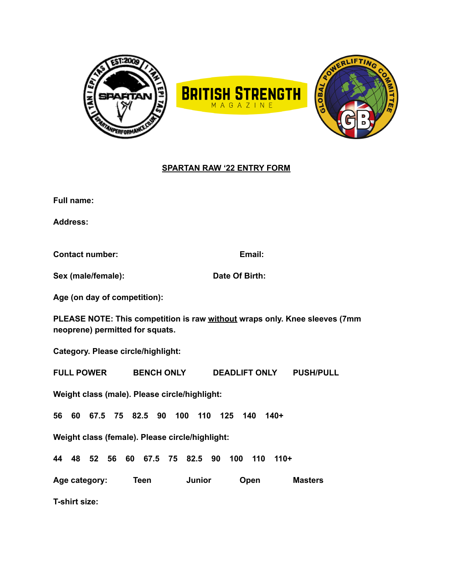





# **SPARTAN RAW '22 ENTRY FORM**

**Full name:**

**Address:**

**Contact number: Email:**

**Sex (male/female): Date Of Birth:**

**Age (on day of competition):**

**PLEASE NOTE: This competition is raw without wraps only. Knee sleeves (7mm neoprene) permitted for squats.**

**Category. Please circle/highlight:**

**FULL POWER BENCH ONLY DEADLIFT ONLY PUSH/PULL**

**Weight class (male). Please circle/highlight:**

**56 60 67.5 75 82.5 90 100 110 125 140 140+**

**Weight class (female). Please circle/highlight:**

**44 48 52 56 60 67.5 75 82.5 90 100 110 110+**

**Age category: Teen Junior Open Masters**

**T-shirt size:**